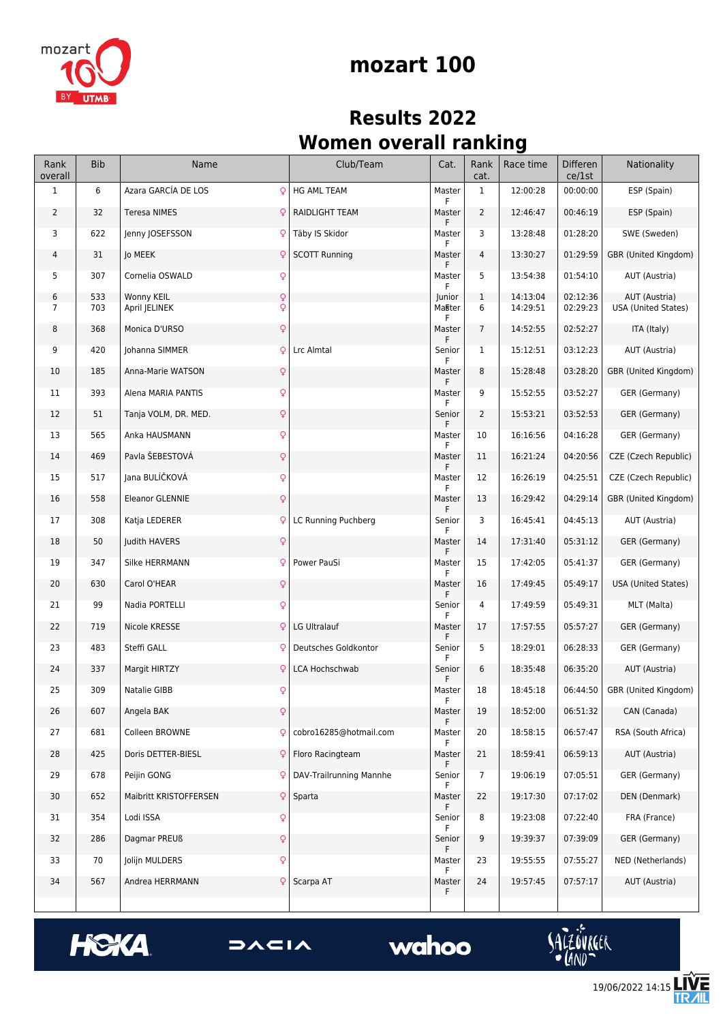

## **mozart 100**

## **Results 2022 Women overall ranking**

| Rank<br>overall | <b>Bib</b> | Name                                             | Club/Team               | Cat.                  | Rank<br>cat.   | Race time            | Differen<br>ce/1st   | Nationality                                 |
|-----------------|------------|--------------------------------------------------|-------------------------|-----------------------|----------------|----------------------|----------------------|---------------------------------------------|
| $\mathbf{1}$    | 6          | Azara GARCÍA DE LOS<br>Q                         | <b>HG AML TEAM</b>      | Master<br>F           | $\mathbf{1}$   | 12:00:28             | 00:00:00             | ESP (Spain)                                 |
| 2               | 32         | <b>Teresa NIMES</b><br>Q                         | RAIDLIGHT TEAM          | Master<br>F           | 2              | 12:46:47             | 00:46:19             | ESP (Spain)                                 |
| 3               | 622        | Q<br>Jenny JOSEFSSON                             | Täby IS Skidor          | Master<br>F           | 3              | 13:28:48             | 01:28:20             | SWE (Sweden)                                |
| 4               | 31         | <b>Jo MEEK</b><br>¥                              | <b>SCOTT Running</b>    | Master<br>F           | $\overline{4}$ | 13:30:27             | 01:29:59             | GBR (United Kingdom)                        |
| 5               | 307        | Cornelia OSWALD<br>Q                             |                         | Master<br>F           | 5              | 13:54:38             | 01:54:10             | AUT (Austria)                               |
| 6<br>7          | 533<br>703 | $\mathsf{Q}$<br>Wonny KEIL<br>Q<br>April JELINEK |                         | Junior<br>Master<br>F | 1<br>6         | 14:13:04<br>14:29:51 | 02:12:36<br>02:29:23 | AUT (Austria)<br><b>USA (United States)</b> |
| 8               | 368        | Monica D'URSO<br>Q                               |                         | Master<br>F           | $\overline{7}$ | 14:52:55             | 02:52:27             | ITA (Italy)                                 |
| 9               | 420        | Q<br>Johanna SIMMER                              | Lrc Almtal              | Senior<br>F           | $\mathbf{1}$   | 15:12:51             | 03:12:23             | AUT (Austria)                               |
| 10              | 185        | Anna-Marie WATSON<br>Q                           |                         | Master<br>F           | 8              | 15:28:48             | 03:28:20             | GBR (United Kingdom)                        |
| 11              | 393        | Alena MARIA PANTIS<br>Q                          |                         | Master<br>F           | 9              | 15:52:55             | 03:52:27             | GER (Germany)                               |
| 12              | 51         | $\mathsf{Q}$<br>Tanja VOLM, DR. MED.             |                         | Senior<br>F           | 2              | 15:53:21             | 03:52:53             | GER (Germany)                               |
| 13              | 565        | Anka HAUSMANN<br>Q                               |                         | Master<br>F           | 10             | 16:16:56             | 04:16:28             | GER (Germany)                               |
| 14              | 469        | Pavla ŠEBESTOVÁ<br>$\mathsf{Q}$                  |                         | Master<br>F           | 11             | 16:21:24             | 04:20:56             | CZE (Czech Republic)                        |
| 15              | 517        | $\mathsf{Q}$<br>Jana BULÍČKOVÁ                   |                         | Master<br>F           | 12             | 16:26:19             | 04:25:51             | CZE (Czech Republic)                        |
| 16              | 558        | <b>Eleanor GLENNIE</b><br>Q                      |                         | Master<br>F           | 13             | 16:29:42             | 04:29:14             | GBR (United Kingdom)                        |
| 17              | 308        | Katja LEDERER<br>Q                               | LC Running Puchberg     | Senior<br>F           | 3              | 16:45:41             | 04:45:13             | AUT (Austria)                               |
| 18              | 50         | Judith HAVERS<br>Q                               |                         | Master<br>F           | 14             | 17:31:40             | 05:31:12             | GER (Germany)                               |
| 19              | 347        | Silke HERRMANN<br>Q                              | Power PauSi             | Master<br>F           | 15             | 17:42:05             | 05:41:37             | GER (Germany)                               |
| 20              | 630        | Carol O'HEAR<br>Q                                |                         | Master                | 16             | 17:49:45             | 05:49:17             | <b>USA (United States)</b>                  |
| 21              | 99         | $\mathsf{Q}$<br>Nadia PORTELLI                   |                         | Senior<br>F           | 4              | 17:49:59             | 05:49:31             | MLT (Malta)                                 |
| 22              | 719        | Nicole KRESSE<br>Q                               | LG Ultralauf            | Master<br>F           | 17             | 17:57:55             | 05:57:27             | GER (Germany)                               |
| 23              | 483        | Steffi GALL<br>Q                                 | Deutsches Goldkontor    | Senior<br>F           | 5              | 18:29:01             | 06:28:33             | GER (Germany)                               |
| 24              | 337        | Margit HIRTZY<br>Q                               | LCA Hochschwab          | Senior<br>F           | 6              | 18:35:48             | 06:35:20             | AUT (Austria)                               |
| 25              | 309        | Q<br>Natalie GIBB                                |                         | Master<br>ŀ.          | 18             | 18:45:18             | 06:44:50             | GBR (United Kingdom)                        |
| 26              | 607        | $\hbox{\large\textsf{Q}}$<br>Angela BAK          |                         | Master<br>F           | 19             | 18:52:00             | 06:51:32             | CAN (Canada)                                |
| 27              | 681        | Colleen BROWNE<br>Q                              | cobro16285@hotmail.com  | Master<br>F           | 20             | 18:58:15             | 06:57:47             | RSA (South Africa)                          |
| 28              | 425        | Doris DETTER-BIESL<br>Q                          | Floro Racingteam        | Master<br>F.          | 21             | 18:59:41             | 06:59:13             | AUT (Austria)                               |
| 29              | 678        | Peijin GONG<br>Q                                 | DAV-Trailrunning Mannhe | Senior<br>F           | 7              | 19:06:19             | 07:05:51             | GER (Germany)                               |
| 30              | 652        | Maibritt KRISTOFFERSEN<br>$\mathsf{Q}$           | Sparta                  | Master<br>F           | 22             | 19:17:30             | 07:17:02             | DEN (Denmark)                               |
| 31              | 354        | Lodi ISSA<br>Q                                   |                         | Senior<br>F           | 8              | 19:23:08             | 07:22:40             | FRA (France)                                |
| 32              | 286        | Dagmar PREUß<br>Q                                |                         | Senior<br>F           | 9              | 19:39:37             | 07:39:09             | GER (Germany)                               |
| 33              | 70         | $\mathsf{Q}$<br>Jolijn MULDERS                   |                         | Master<br>F           | 23             | 19:55:55             | 07:55:27             | NED (Netherlands)                           |
| 34              | 567        | Andrea HERRMANN<br>Q                             | Scarpa AT               | Master                | 24             | 19:57:45             | 07:57:17             | AUT (Austria)                               |
|                 |            |                                                  |                         | F.                    |                |                      |                      |                                             |





## wahoo



<u>/Е</u>